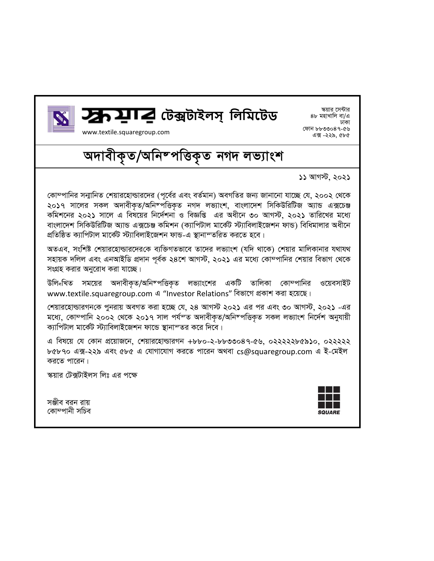



*ক্ষয়ার সেন্টার* 8৮ মহাখালি বা/এ *XvKv †dvb 8833047-56*  এক্স -২২৯, ৫৮৫

www.textile.squaregroup.com

*অদাবীকৃত/অনিম্পত্তিকৃত নগদ লভ্যাংশ* 

*11 AvM÷, 2021* 

*†Kv¤cvwbi mb¥vwbZ †kqvi‡nvìvi‡`i (c~‡e©i Ges eZ©gvb) AeMwZi Rb¨ Rvbv‡bv hv‡"Q †h, 2002 †\_‡K*  ২০১৭ সালের সকল অদাবীকত/অনিম্পত্তিকত নগদ লভ্যাংশ, বাংলাদেশ সিকিউরিটিজ অ্যান্ড এক্সচেঞ্জ *Kwgk‡bi 2021 mv‡j G wel‡qi wb‡`©kbv I weÁwß Gi Aax‡b 30 AvM÷, 2021 Zvwi‡Li g‡a¨* বাংলাদেশ সিকিউরিটিজ অ্যান্ড এক্সচেঞ্জ কমিশন (ক্যাপিটাল মার্কেট স্ট্যাবিলাইজেশন ফান্ড) বিধিমালার অধীনে *cÖwZwôZ K¨vwcUvj gv‡K©U ÷¨vwejvB‡Rkb dvÛ-G ¯'vbvšZwiZ Ki‡Z n‡e|* 

*AZGe, mswkó †kqvi‡nvìvi‡`i†K e¨w³MZfv‡e Zv‡`i jf¨vsk (hw` \_v‡K) †kqvi gvwjKvbvi h\_vh\_ mnvqK `wjj Ges GbAvBwW cÖ`vb c~e©K 24‡k AvM÷, 2021 Gi g‡a¨ †Kv¤cvwbi †kqvi wefvM †\_‡K*  সংগ্রহ করার অনুরোধ করা যাচ্ছে।

*উলি<sub>শ</sub>খিত সময়ের অদাবীকৃত/অনিম্পত্তিকৃত লভ্যাংশের একটি তালিকা কোম্পানির ওয়েবসাইট* www.textile.squaregroup.com এ "Investor Relations" বিভাগে প্রকাশ করা হয়েছে।

*†kqvi‡nvìviMb†K cybivq AeMZ Kiv n‡"Q †h, 24 AvM÷ 2021 Gi ci Ges 30 AvM÷, 2021 -Gi মধ্যে, কোম্পানি ২০০২ থেকে ২০১৭ সাল পৰ্যম্ত অদাবীকত/অনিম্পত্তিকত সকল লভ্যাংশ নিৰ্দেশ অনুযায়ী* ক্যাপিটাল মার্কেট স্ট্যাবিলাইজেশন ফান্ডে স্থানাম্তর করে দিবে।

*G wel‡q †h †Kvb cÖ‡qvR‡b, †kqvi‡nvìviMb +880-2-8833047-56, 02222285910, 022222 b* ৫৮৭০ এক্স-২২৯ এবং ৫৮৫ এ যোগাযোগ করতে পারেন অথবা [cs@squaregroup.com](mailto:cs@squaregroup.com) এ ই-মেইল *করতে পারেন।* 

*স্ক*য়ার টেক্সটাইলস লিঃ এর পক্ষে

সঞ্জীব বরন রায় *†Kv¤cvbx mwPe*